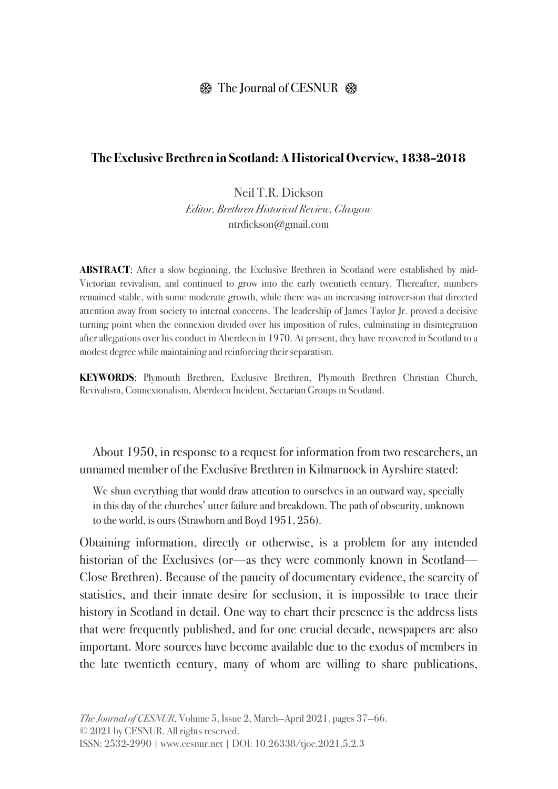## $\circledR$  The Journal of CESNUR  $\circledR$

#### **The Exclusive Brethren in Scotland: A Historical Overview, 1838–2018**

Neil T.R. Dickson Editor, Brethren Historical Review, Glasgow ntrdickson@gmail.com

**ABSTRACT:** After a slow beginning, the Exclusive Brethren in Scotland were established by mid-Victorian revivalism, and continued to grow into the early twentieth century. Thereafter, numbers remained stable, with some moderate growth, while there was an increasing introversion that directed attention away from society to internal concerns. The leadership of James Taylor Jr. proved a decisive turning point when the connexion divided over his imposition of rules, culminating in disintegration after allegations over his conduct in Aberdeen in 1970. At present, they have recovered in Scotland to a modest degree while maintaining and reinforcing their separatism.

**KEYWORDS**: Plymouth Brethren, Exclusive Brethren, Plymouth Brethren Christian Church, Revivalism, Connexionalism, Aberdeen Incident, Sectarian Groups in Scotland.

About 1950, in response to a request for information from two researchers, an unnamed member of the Exclusive Brethren in Kilmarnock in Ayrshire stated:

We shun everything that would draw attention to ourselves in an outward way, specially in this day of the churches' utter failure and breakdown. The path of obscurity, unknown to the world, is ours (Strawhorn and Boyd 1951, 256).

Obtaining information, directly or otherwise, is a problem for any intended historian of the Exclusives (or—as they were commonly known in Scotland— Close Brethren). Because of the paucity of documentary evidence, the scarcity of statistics, and their innate desire for seclusion, it is impossible to trace their history in Scotland in detail. One way to chart their presence is the address lists that were frequently published, and for one crucial decade, newspapers are also important. More sources have become available due to the exodus of members in the late twentieth century, many of whom are willing to share publications,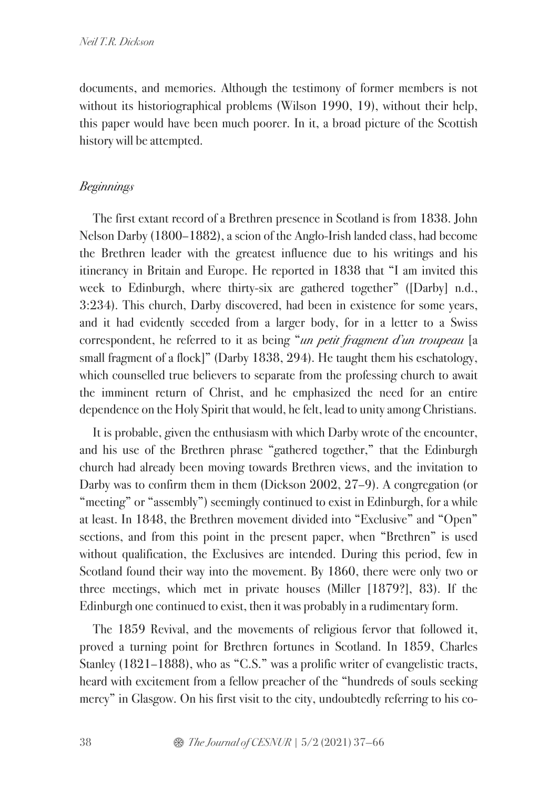documents, and memories. Although the testimony of former members is not without its historiographical problems (Wilson 1990, 19), without their help, this paper would have been much poorer. In it, a broad picture of the Scottish history will be attempted.

### Beginnings

The first extant record of a Brethren presence in Scotland is from 1838. John Nelson Darby (1800–1882), a scion of the Anglo-Irish landed class, had become the Brethren leader with the greatest influence due to his writings and his itinerancy in Britain and Europe. He reported in 1838 that "I am invited this week to Edinburgh, where thirty-six are gathered together" ([Darby] n.d., 3:234). This church, Darby discovered, had been in existence for some years, and it had evidently seceded from a larger body, for in a letter to a Swiss correspondent, he referred to it as being "un petit fragment d'un troupeau [a small fragment of a flock]" (Darby 1838, 294). He taught them his eschatology, which counselled true believers to separate from the professing church to await the imminent return of Christ, and he emphasized the need for an entire dependence on the Holy Spirit that would, he felt, lead to unity among Christians.

It is probable, given the enthusiasm with which Darby wrote of the encounter, and his use of the Brethren phrase "gathered together," that the Edinburgh church had already been moving towards Brethren views, and the invitation to Darby was to confirm them in them (Dickson 2002, 27–9). A congregation (or "meeting" or "assembly") seemingly continued to exist in Edinburgh, for a while at least. In 1848, the Brethren movement divided into "Exclusive" and "Open" sections, and from this point in the present paper, when "Brethren" is used without qualification, the Exclusives are intended. During this period, few in Scotland found their way into the movement. By 1860, there were only two or three meetings, which met in private houses (Miller [1879?], 83). If the Edinburgh one continued to exist, then it was probably in a rudimentary form.

The 1859 Revival, and the movements of religious fervor that followed it, proved a turning point for Brethren fortunes in Scotland. In 1859, Charles Stanley (1821–1888), who as "C.S." was a prolific writer of evangelistic tracts, heard with excitement from a fellow preacher of the "hundreds of souls seeking mercy" in Glasgow. On his first visit to the city, undoubtedly referring to his co-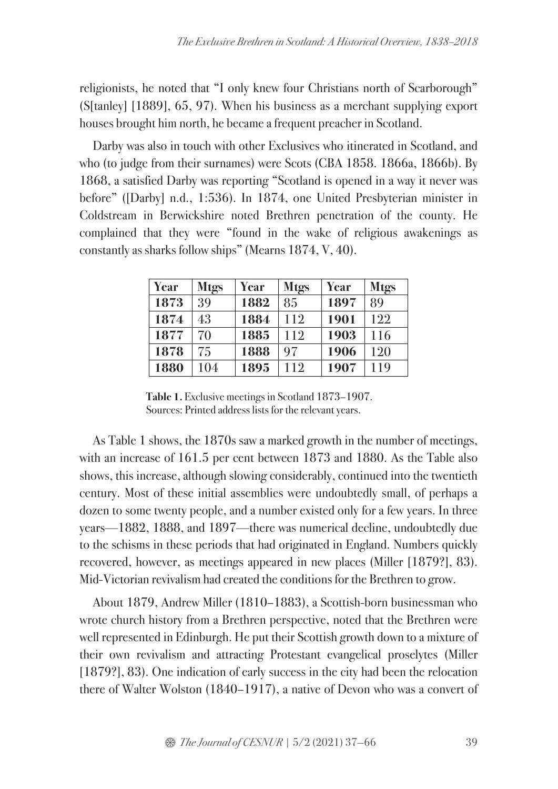religionists, he noted that "I only knew four Christians north of Scarborough" (S[tanley] [1889], 65, 97). When his business as a merchant supplying export houses brought him north, he became a frequent preacher in Scotland.

Darby was also in touch with other Exclusives who itinerated in Scotland, and who (to judge from their surnames) were Scots (CBA 1858. 1866a, 1866b). By 1868, a satisfied Darby was reporting "Scotland is opened in a way it never was before" ([Darby] n.d., 1:536). In 1874, one United Presbyterian minister in Coldstream in Berwickshire noted Brethren penetration of the county. He complained that they were "found in the wake of religious awakenings as constantly as sharks follow ships" (Mearns 1874, V, 40).

| Year | <b>Mtgs</b> | <b>Year</b> | <b>Mtgs</b> | <b>Year</b> | <b>Mtgs</b> |
|------|-------------|-------------|-------------|-------------|-------------|
| 1873 | 39          | 1882        | 85          | 1897        | 89          |
| 1874 | 43          | 1884        | 112         | 1901        | 122         |
| 1877 | 70          | 1885        | 112         | 1903        | 116         |
| 1878 | 75          | 1888        | 97          | 1906        | 120         |
| 1880 | 104         | 1895        | 112         | 1907        | 119         |

**Table 1.** Exclusive meetings in Scotland 1873–1907. Sources: Printed address lists for the relevant years.

As Table 1 shows, the 1870s saw a marked growth in the number of meetings, with an increase of 161.5 per cent between 1873 and 1880. As the Table also shows, this increase, although slowing considerably, continued into the twentieth century. Most of these initial assemblies were undoubtedly small, of perhaps a dozen to some twenty people, and a number existed only for a few years. In three years—1882, 1888, and 1897—there was numerical decline, undoubtedly due to the schisms in these periods that had originated in England. Numbers quickly recovered, however, as meetings appeared in new places (Miller [1879?], 83). Mid-Victorian revivalism had created the conditions for the Brethren to grow.

About 1879, Andrew Miller (1810–1883), a Scottish-born businessman who wrote church history from a Brethren perspective, noted that the Brethren were well represented in Edinburgh. He put their Scottish growth down to a mixture of their own revivalism and attracting Protestant evangelical proselytes (Miller [1879?], 83). One indication of early success in the city had been the relocation there of Walter Wolston (1840–1917), a native of Devon who was a convert of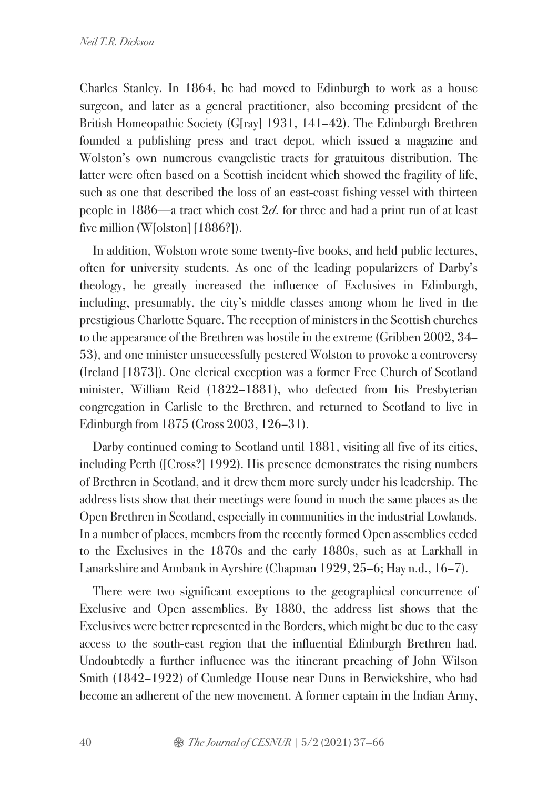Charles Stanley. In 1864, he had moved to Edinburgh to work as a house surgeon, and later as a general practitioner, also becoming president of the British Homeopathic Society (G[ray] 1931, 141–42). The Edinburgh Brethren founded a publishing press and tract depot, which issued a magazine and Wolston's own numerous evangelistic tracts for gratuitous distribution. The latter were often based on a Scottish incident which showed the fragility of life, such as one that described the loss of an east-coast fishing vessel with thirteen people in 1886—a tract which cost  $2d$ , for three and had a print run of at least five million (W[olston] [1886?]).

In addition, Wolston wrote some twenty-five books, and held public lectures, often for university students. As one of the leading popularizers of Darby's theology, he greatly increased the influence of Exclusives in Edinburgh, including, presumably, the city's middle classes among whom he lived in the prestigious Charlotte Square. The reception of ministers in the Scottish churches to the appearance of the Brethren was hostile in the extreme (Gribben 2002, 34– 53), and one minister unsuccessfully pestered Wolston to provoke a controversy (Ireland [1873]). One clerical exception was a former Free Church of Scotland minister, William Reid (1822–1881), who defected from his Presbyterian congregation in Carlisle to the Brethren, and returned to Scotland to live in Edinburgh from 1875 (Cross 2003, 126–31).

Darby continued coming to Scotland until 1881, visiting all five of its cities, including Perth ([Cross?] 1992). His presence demonstrates the rising numbers of Brethren in Scotland, and it drew them more surely under his leadership. The address lists show that their meetings were found in much the same places as the Open Brethren in Scotland, especially in communities in the industrial Lowlands. In a number of places, members from the recently formed Open assemblies ceded to the Exclusives in the 1870s and the early 1880s, such as at Larkhall in Lanarkshire and Annbank in Ayrshire (Chapman 1929, 25–6; Hay n.d., 16–7).

There were two significant exceptions to the geographical concurrence of Exclusive and Open assemblies. By 1880, the address list shows that the Exclusives were better represented in the Borders, which might be due to the easy access to the south-east region that the influential Edinburgh Brethren had. Undoubtedly a further influence was the itinerant preaching of John Wilson Smith (1842–1922) of Cumledge House near Duns in Berwickshire, who had become an adherent of the new movement. A former captain in the Indian Army,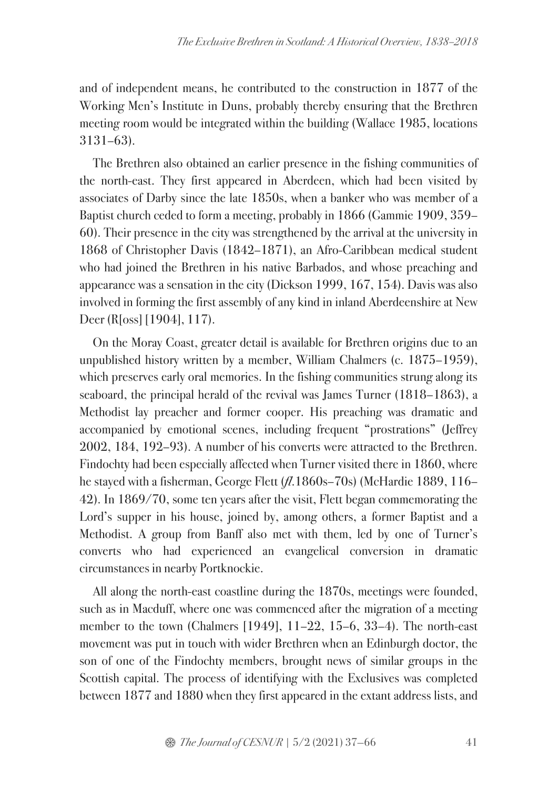and of independent means, he contributed to the construction in 1877 of the Working Men's Institute in Duns, probably thereby ensuring that the Brethren meeting room would be integrated within the building (Wallace 1985, locations 3131–63).

The Brethren also obtained an earlier presence in the fishing communities of the north-east. They first appeared in Aberdeen, which had been visited by associates of Darby since the late 1850s, when a banker who was member of a Baptist church ceded to form a meeting, probably in 1866 (Gammie 1909, 359– 60). Their presence in the city was strengthened by the arrival at the university in 1868 of Christopher Davis (1842–1871), an Afro-Caribbean medical student who had joined the Brethren in his native Barbados, and whose preaching and appearance was a sensation in the city (Dickson 1999, 167, 154). Davis was also involved in forming the first assembly of any kind in inland Aberdeenshire at New Deer (R[oss] [1904], 117).

On the Moray Coast, greater detail is available for Brethren origins due to an unpublished history written by a member, William Chalmers (c. 1875–1959), which preserves early oral memories. In the fishing communities strung along its seaboard, the principal herald of the revival was James Turner (1818–1863), a Methodist lay preacher and former cooper. His preaching was dramatic and accompanied by emotional scenes, including frequent "prostrations" (Jeffrey 2002, 184, 192–93). A number of his converts were attracted to the Brethren. Findochty had been especially affected when Turner visited there in 1860, where he stayed with a fisherman, George Flett (*fl.*1860s–70s) (McHardie 1889, 116– 42). In 1869/70, some ten years after the visit, Flett began commemorating the Lord's supper in his house, joined by, among others, a former Baptist and a Methodist. A group from Banff also met with them, led by one of Turner's converts who had experienced an evangelical conversion in dramatic circumstances in nearby Portknockie.

All along the north-east coastline during the 1870s, meetings were founded, such as in Macduff, where one was commenced after the migration of a meeting member to the town (Chalmers [1949], 11–22, 15–6, 33–4). The north-east movement was put in touch with wider Brethren when an Edinburgh doctor, the son of one of the Findochty members, brought news of similar groups in the Scottish capital. The process of identifying with the Exclusives was completed between 1877 and 1880 when they first appeared in the extant address lists, and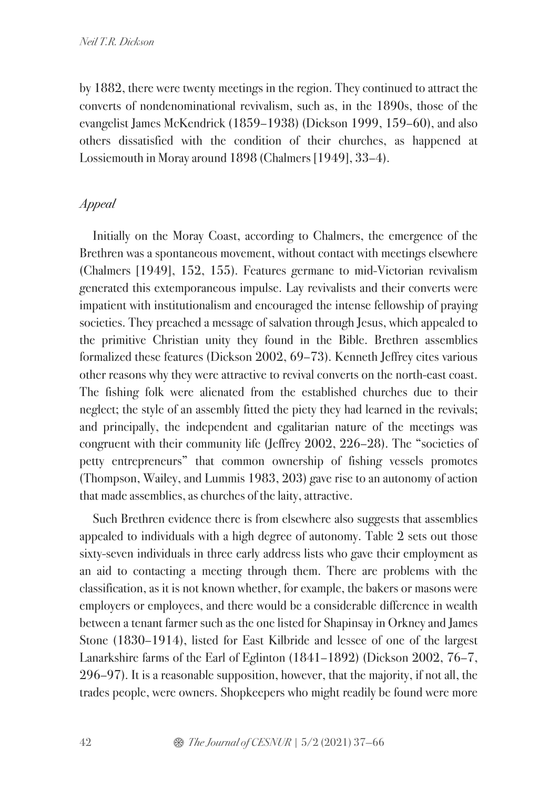by 1882, there were twenty meetings in the region. They continued to attract the converts of nondenominational revivalism, such as, in the 1890s, those of the evangelist James McKendrick (1859–1938) (Dickson 1999, 159–60), and also others dissatisfied with the condition of their churches, as happened at Lossiemouth in Moray around 1898 (Chalmers [1949], 33–4).

## Appeal

Initially on the Moray Coast, according to Chalmers, the emergence of the Brethren was a spontaneous movement, without contact with meetings elsewhere (Chalmers [1949], 152, 155). Features germane to mid-Victorian revivalism generated this extemporaneous impulse. Lay revivalists and their converts were impatient with institutionalism and encouraged the intense fellowship of praying societies. They preached a message of salvation through Jesus, which appealed to the primitive Christian unity they found in the Bible. Brethren assemblies formalized these features (Dickson 2002, 69–73). Kenneth Jeffrey cites various other reasons why they were attractive to revival converts on the north-east coast. The fishing folk were alienated from the established churches due to their neglect; the style of an assembly fitted the piety they had learned in the revivals; and principally, the independent and egalitarian nature of the meetings was congruent with their community life (Jeffrey 2002, 226–28). The "societies of petty entrepreneurs" that common ownership of fishing vessels promotes (Thompson, Wailey, and Lummis 1983, 203) gave rise to an autonomy of action that made assemblies, as churches of the laity, attractive.

Such Brethren evidence there is from elsewhere also suggests that assemblies appealed to individuals with a high degree of autonomy. Table 2 sets out those sixty-seven individuals in three early address lists who gave their employment as an aid to contacting a meeting through them. There are problems with the classification, as it is not known whether, for example, the bakers or masons were employers or employees, and there would be a considerable difference in wealth between a tenant farmer such as the one listed for Shapinsay in Orkney and James Stone (1830–1914), listed for East Kilbride and lessee of one of the largest Lanarkshire farms of the Earl of Eglinton (1841–1892) (Dickson 2002, 76–7, 296–97). It is a reasonable supposition, however, that the majority, if not all, the trades people, were owners. Shopkeepers who might readily be found were more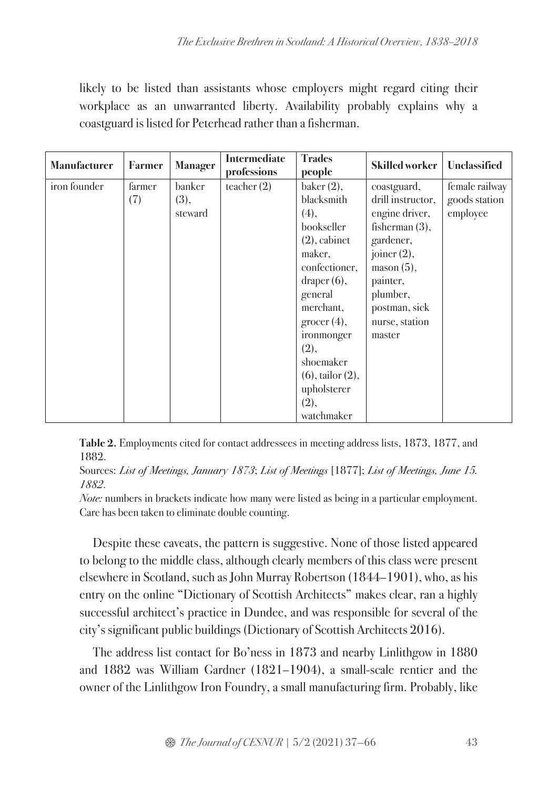likely to be listed than assistants whose employers might regard citing their workplace as an unwarranted liberty. Availability probably explains why a coastguard is listed for Peterhead rather than a fisherman.

| <b>Manufacturer</b> | <b>Farmer</b> | <b>Manager</b> | <b>Intermediate</b><br>professions | <b>Trades</b><br>people | <b>Skilled worker</b> | <b>Unclassified</b> |
|---------------------|---------------|----------------|------------------------------------|-------------------------|-----------------------|---------------------|
| iron founder        | farmer        | banker         | teacher $(2)$                      | baker $(2)$ ,           | coastguard,           | female railway      |
|                     | (7)           | (3),           |                                    | blacksmith              | drill instructor,     | goods station       |
|                     |               | steward        |                                    | (4),                    | engine driver,        | employee            |
|                     |               |                |                                    | bookseller              | fisherman $(3)$ ,     |                     |
|                     |               |                |                                    | $(2)$ , cabinet         | gardener,             |                     |
|                     |               |                |                                    | maker,                  | joiner $(2)$ ,        |                     |
|                     |               |                |                                    | confectioner,           | $masson (5)$ ,        |                     |
|                     |               |                |                                    | draper $(6)$ ,          | painter,              |                     |
|                     |               |                |                                    | general                 | plumber,              |                     |
|                     |               |                |                                    | merchant,               | postman, sick         |                     |
|                     |               |                |                                    | $\rm grocer(4),$        | nurse, station        |                     |
|                     |               |                |                                    | ironmonger              | master                |                     |
|                     |               |                |                                    | (2),                    |                       |                     |
|                     |               |                |                                    | shoemaker               |                       |                     |
|                     |               |                |                                    | $(6)$ , tailor $(2)$ ,  |                       |                     |
|                     |               |                |                                    | upholsterer             |                       |                     |
|                     |               |                |                                    | (2),                    |                       |                     |
|                     |               |                |                                    | watchmaker              |                       |                     |

**Table 2.** Employments cited for contact addressees in meeting address lists, 1873, 1877, and 1882.

Sources: List of Meetings, January 1873; List of Meetings [1877]; List of Meetings, June 15. 1882.

Note: numbers in brackets indicate how many were listed as being in a particular employment. Care has been taken to eliminate double counting.

Despite these caveats, the pattern is suggestive. None of those listed appeared to belong to the middle class, although clearly members of this class were present elsewhere in Scotland, such as John Murray Robertson (1844–1901), who, as his entry on the online "Dictionary of Scottish Architects" makes clear, ran a highly successful architect's practice in Dundee, and was responsible for several of the city's significant public buildings (Dictionary of Scottish Architects 2016).

The address list contact for Bo'ness in 1873 and nearby Linlithgow in 1880 and 1882 was William Gardner (1821–1904), a small-scale rentier and the owner of the Linlithgow Iron Foundry, a small manufacturing firm. Probably, like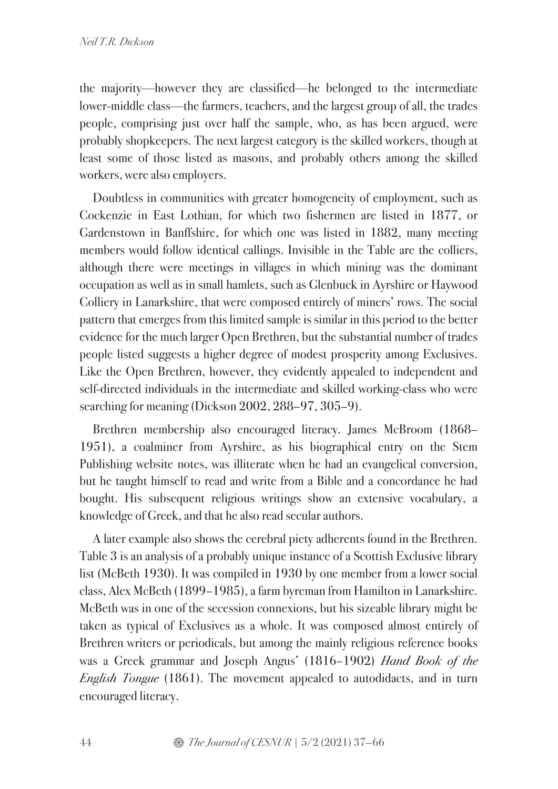the majority—however they are classified—he belonged to the intermediate lower-middle class—the farmers, teachers, and the largest group of all, the trades people, comprising just over half the sample, who, as has been argued, were probably shopkeepers. The next largest category is the skilled workers, though at least some of those listed as masons, and probably others among the skilled workers, were also employers.

Doubtless in communities with greater homogeneity of employment, such as Cockenzie in East Lothian, for which two fishermen are listed in 1877, or Gardenstown in Banffshire, for which one was listed in 1882, many meeting members would follow identical callings. Invisible in the Table are the colliers, although there were meetings in villages in which mining was the dominant occupation as well as in small hamlets, such as Glenbuck in Ayrshire or Haywood Colliery in Lanarkshire, that were composed entirely of miners' rows. The social pattern that emerges from this limited sample is similar in this period to the better evidence for the much larger Open Brethren, but the substantial number of trades people listed suggests a higher degree of modest prosperity among Exclusives. Like the Open Brethren, however, they evidently appealed to independent and self-directed individuals in the intermediate and skilled working-class who were searching for meaning (Dickson 2002, 288–97, 305–9).

Brethren membership also encouraged literacy. James McBroom (1868– 1951), a coalminer from Ayrshire, as his biographical entry on the Stem Publishing website notes, was illiterate when he had an evangelical conversion, but he taught himself to read and write from a Bible and a concordance he had bought. His subsequent religious writings show an extensive vocabulary, a knowledge of Greek, and that he also read secular authors.

A later example also shows the cerebral piety adherents found in the Brethren. Table 3 is an analysis of a probably unique instance of a Scottish Exclusive library list (McBeth 1930). It was compiled in 1930 by one member from a lower social class, Alex McBeth (1899–1985), a farm byreman from Hamilton in Lanarkshire. McBeth was in one of the secession connexions, but his sizeable library might be taken as typical of Exclusives as a whole. It was composed almost entirely of Brethren writers or periodicals, but among the mainly religious reference books was a Greek grammar and Joseph Angus' (1816–1902) Hand Book of the English Tongue (1861). The movement appealed to autodidacts, and in turn encouraged literacy.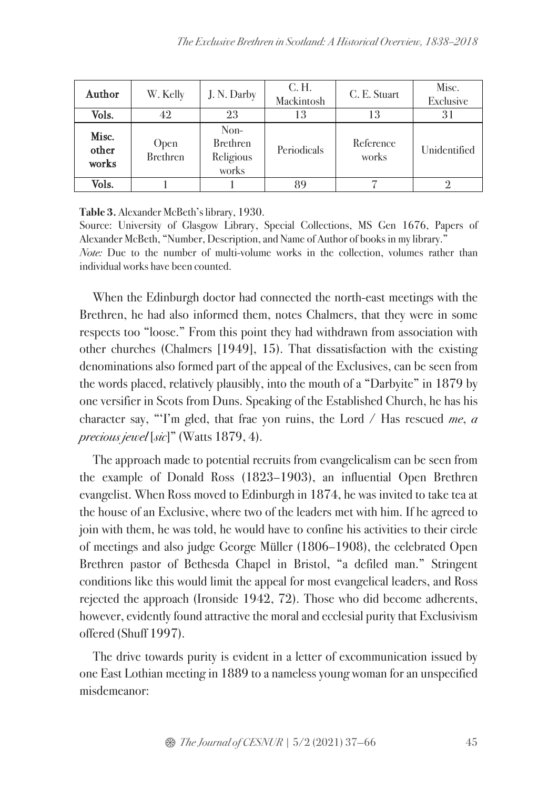| Author                  | W. Kelly         | J. N. Darby                                   | C. H.<br>Mackintosh | C. E. Stuart       | Misc.<br><b>Exclusive</b> |
|-------------------------|------------------|-----------------------------------------------|---------------------|--------------------|---------------------------|
| Vols.                   | 42               | 23                                            | 13                  | 13                 | 31                        |
| Misc.<br>other<br>works | Open<br>Brethren | Non-<br><b>Brethren</b><br>Religious<br>works | Periodicals         | Reference<br>works | Unidentified              |
| Vols.                   |                  |                                               |                     |                    |                           |

**Table 3.** Alexander McBeth's library, 1930.

Source: University of Glasgow Library, Special Collections, MS Gen 1676, Papers of Alexander McBeth, "Number, Description, and Name of Author of books in my library." Note: Due to the number of multi-volume works in the collection, volumes rather than individual works have been counted.

When the Edinburgh doctor had connected the north-east meetings with the Brethren, he had also informed them, notes Chalmers, that they were in some respects too "loose." From this point they had withdrawn from association with other churches (Chalmers [1949], 15). That dissatisfaction with the existing denominations also formed part of the appeal of the Exclusives, can be seen from the words placed, relatively plausibly, into the mouth of a "Darbyite" in 1879 by one versifier in Scots from Duns. Speaking of the Established Church, he has his character say, "T'm gled, that frae yon ruins, the Lord / Has rescued me,  $\alpha$ precious jewel [sic]" (Watts 1879, 4).

The approach made to potential recruits from evangelicalism can be seen from the example of Donald Ross (1823–1903), an influential Open Brethren evangelist. When Ross moved to Edinburgh in 1874, he was invited to take tea at the house of an Exclusive, where two of the leaders met with him. If he agreed to join with them, he was told, he would have to confine his activities to their circle of meetings and also judge George Müller (1806–1908), the celebrated Open Brethren pastor of Bethesda Chapel in Bristol, "a defiled man." Stringent conditions like this would limit the appeal for most evangelical leaders, and Ross rejected the approach (Ironside 1942, 72). Those who did become adherents, however, evidently found attractive the moral and ecclesial purity that Exclusivism offered (Shuff 1997).

The drive towards purity is evident in a letter of excommunication issued by one East Lothian meeting in 1889 to a nameless young woman for an unspecified misdemeanor: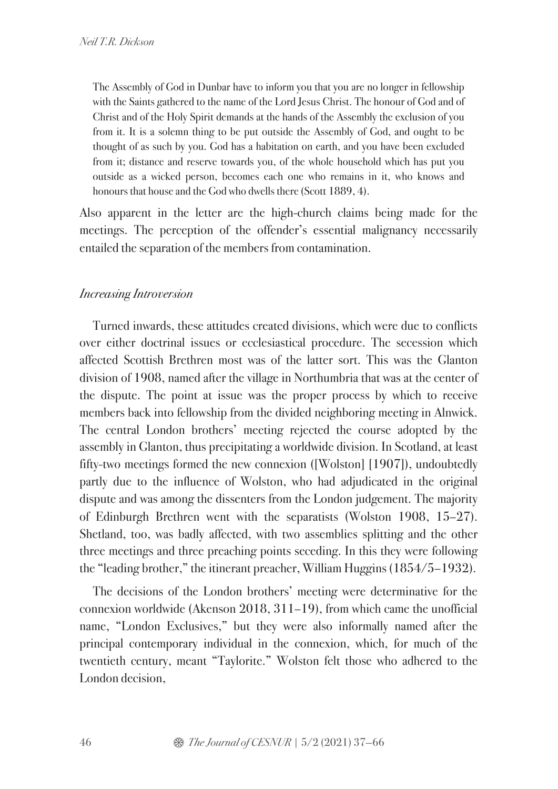The Assembly of God in Dunbar have to inform you that you are no longer in fellowship with the Saints gathered to the name of the Lord Jesus Christ. The honour of God and of Christ and of the Holy Spirit demands at the hands of the Assembly the exclusion of you from it. It is a solemn thing to be put outside the Assembly of God, and ought to be thought of as such by you. God has a habitation on earth, and you have been excluded from it; distance and reserve towards you, of the whole household which has put you outside as a wicked person, becomes each one who remains in it, who knows and honours that house and the God who dwells there (Scott 1889, 4).

Also apparent in the letter are the high-church claims being made for the meetings. The perception of the offender's essential malignancy necessarily entailed the separation of the members from contamination.

### Increasing Introversion

Turned inwards, these attitudes created divisions, which were due to conflicts over either doctrinal issues or ecclesiastical procedure. The secession which affected Scottish Brethren most was of the latter sort. This was the Glanton division of 1908, named after the village in Northumbria that was at the center of the dispute. The point at issue was the proper process by which to receive members back into fellowship from the divided neighboring meeting in Alnwick. The central London brothers' meeting rejected the course adopted by the assembly in Glanton, thus precipitating a worldwide division. In Scotland, at least fifty-two meetings formed the new connexion ([Wolston] [1907]), undoubtedly partly due to the influence of Wolston, who had adjudicated in the original dispute and was among the dissenters from the London judgement. The majority of Edinburgh Brethren went with the separatists (Wolston 1908, 15–27). Shetland, too, was badly affected, with two assemblies splitting and the other three meetings and three preaching points seceding. In this they were following the "leading brother," the itinerant preacher, William Huggins (1854/5–1932).

The decisions of the London brothers' meeting were determinative for the connexion worldwide (Akenson 2018, 311–19), from which came the unofficial name, "London Exclusives," but they were also informally named after the principal contemporary individual in the connexion, which, for much of the twentieth century, meant "Taylorite." Wolston felt those who adhered to the London decision,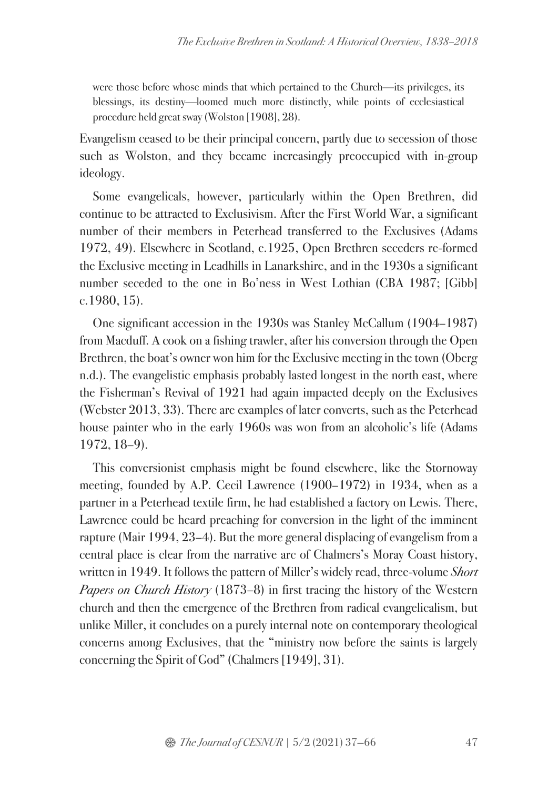were those before whose minds that which pertained to the Church—its privileges, its blessings, its destiny—loomed much more distinctly, while points of ecclesiastical procedure held great sway (Wolston [1908], 28).

Evangelism ceased to be their principal concern, partly due to secession of those such as Wolston, and they became increasingly preoccupied with in-group ideology.

Some evangelicals, however, particularly within the Open Brethren, did continue to be attracted to Exclusivism. After the First World War, a significant number of their members in Peterhead transferred to the Exclusives (Adams 1972, 49). Elsewhere in Scotland, c.1925, Open Brethren seceders re-formed the Exclusive meeting in Leadhills in Lanarkshire, and in the 1930s a significant number seceded to the one in Bo'ness in West Lothian (CBA 1987; [Gibb] c.1980, 15).

One significant accession in the 1930s was Stanley McCallum (1904–1987) from Macduff. A cook on a fishing trawler, after his conversion through the Open Brethren, the boat's owner won him for the Exclusive meeting in the town (Oberg n.d.). The evangelistic emphasis probably lasted longest in the north east, where the Fisherman's Revival of 1921 had again impacted deeply on the Exclusives (Webster 2013, 33). There are examples of later converts, such as the Peterhead house painter who in the early 1960s was won from an alcoholic's life (Adams 1972, 18–9).

This conversionist emphasis might be found elsewhere, like the Stornoway meeting, founded by A.P. Cecil Lawrence (1900–1972) in 1934, when as a partner in a Peterhead textile firm, he had established a factory on Lewis. There, Lawrence could be heard preaching for conversion in the light of the imminent rapture (Mair 1994, 23–4). But the more general displacing of evangelism from a central place is clear from the narrative arc of Chalmers's Moray Coast history, written in 1949. It follows the pattern of Miller's widely read, three-volume Short Papers on Church History (1873–8) in first tracing the history of the Western church and then the emergence of the Brethren from radical evangelicalism, but unlike Miller, it concludes on a purely internal note on contemporary theological concerns among Exclusives, that the "ministry now before the saints is largely concerning the Spirit of God" (Chalmers [1949], 31).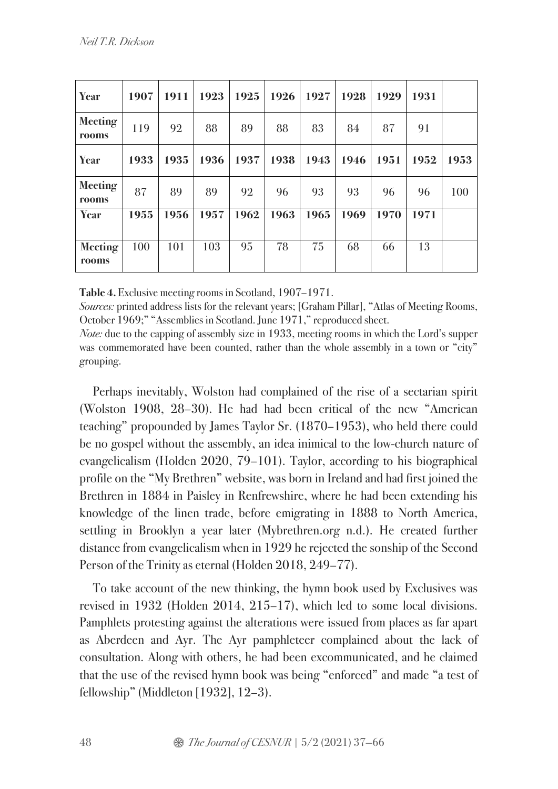| Year                           | 1907 | 1911 | 1923 | 1925 | 1926 | 1927 | 1928 | 1929 | 1931 |      |
|--------------------------------|------|------|------|------|------|------|------|------|------|------|
| <b>Meeting</b><br><b>rooms</b> | 119  | 92   | 88   | 89   | 88   | 83   | 84   | 87   | 91   |      |
| Year                           | 1933 | 1935 | 1936 | 1937 | 1938 | 1943 | 1946 | 1951 | 1952 | 1953 |
| <b>Meeting</b><br>rooms        | 87   | 89   | 89   | 92   | 96   | 93   | 93   | 96   | 96   | 100  |
| Year                           | 1955 | 1956 | 1957 | 1962 | 1963 | 1965 | 1969 | 1970 | 1971 |      |
| <b>Meeting</b><br>rooms        | 100  | 101  | 103  | 95   | 78   | 75   | 68   | 66   | 13   |      |

**Table 4.** Exclusive meeting rooms in Scotland, 1907–1971.

Sources: printed address lists for the relevant years; [Graham Pillar], "Atlas of Meeting Rooms, October 1969;" "Assemblies in Scotland. June 1971," reproduced sheet.

Note: due to the capping of assembly size in 1933, meeting rooms in which the Lord's supper was commemorated have been counted, rather than the whole assembly in a town or "city" grouping.

Perhaps inevitably, Wolston had complained of the rise of a sectarian spirit (Wolston 1908, 28–30). He had had been critical of the new "American teaching" propounded by James Taylor Sr. (1870–1953), who held there could be no gospel without the assembly, an idea inimical to the low-church nature of evangelicalism (Holden 2020, 79–101). Taylor, according to his biographical profile on the "My Brethren" website, was born in Ireland and had first joined the Brethren in 1884 in Paisley in Renfrewshire, where he had been extending his knowledge of the linen trade, before emigrating in 1888 to North America, settling in Brooklyn a year later (Mybrethren.org n.d.). He created further distance from evangelicalism when in 1929 he rejected the sonship of the Second Person of the Trinity as eternal (Holden 2018, 249–77).

To take account of the new thinking, the hymn book used by Exclusives was revised in 1932 (Holden 2014, 215–17), which led to some local divisions. Pamphlets protesting against the alterations were issued from places as far apart as Aberdeen and Ayr. The Ayr pamphleteer complained about the lack of consultation. Along with others, he had been excommunicated, and he claimed that the use of the revised hymn book was being "enforced" and made "a test of fellowship" (Middleton [1932], 12–3).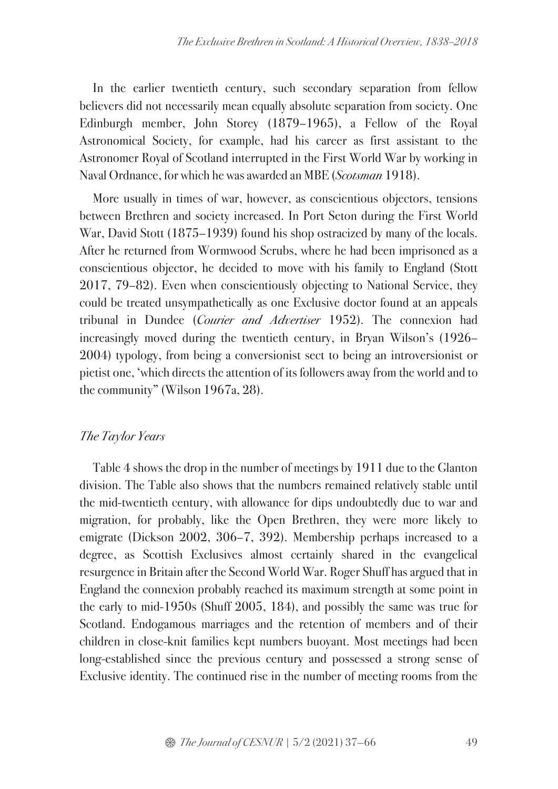In the earlier twentieth century, such secondary separation from fellow believers did not necessarily mean equally absolute separation from society. One Edinburgh member, John Storey (1879–1965), a Fellow of the Royal Astronomical Society, for example, had his career as first assistant to the Astronomer Royal of Scotland interrupted in the First World War by working in Naval Ordnance, for which he was awarded an MBE (Scotsman 1918).

More usually in times of war, however, as conscientious objectors, tensions between Brethren and society increased. In Port Seton during the First World War, David Stott (1875–1939) found his shop ostracized by many of the locals. After he returned from Wormwood Scrubs, where he had been imprisoned as a conscientious objector, he decided to move with his family to England (Stott 2017, 79–82). Even when conscientiously objecting to National Service, they could be treated unsympathetically as one Exclusive doctor found at an appeals tribunal in Dundee (Courier and Advertiser 1952). The connexion had increasingly moved during the twentieth century, in Bryan Wilson's (1926– 2004) typology, from being a conversionist sect to being an introversionist or pietist one, 'which directs the attention of its followers away from the world and to the community" (Wilson 1967a, 28).

## The Taylor Years

Table 4 shows the drop in the number of meetings by 1911 due to the Glanton division. The Table also shows that the numbers remained relatively stable until the mid-twentieth century, with allowance for dips undoubtedly due to war and migration, for probably, like the Open Brethren, they were more likely to emigrate (Dickson 2002, 306–7, 392). Membership perhaps increased to a degree, as Scottish Exclusives almost certainly shared in the evangelical resurgence in Britain after the Second World War. Roger Shuff has argued that in England the connexion probably reached its maximum strength at some point in the early to mid-1950s (Shuff 2005, 184), and possibly the same was true for Scotland. Endogamous marriages and the retention of members and of their children in close-knit families kept numbers buoyant. Most meetings had been long-established since the previous century and possessed a strong sense of Exclusive identity. The continued rise in the number of meeting rooms from the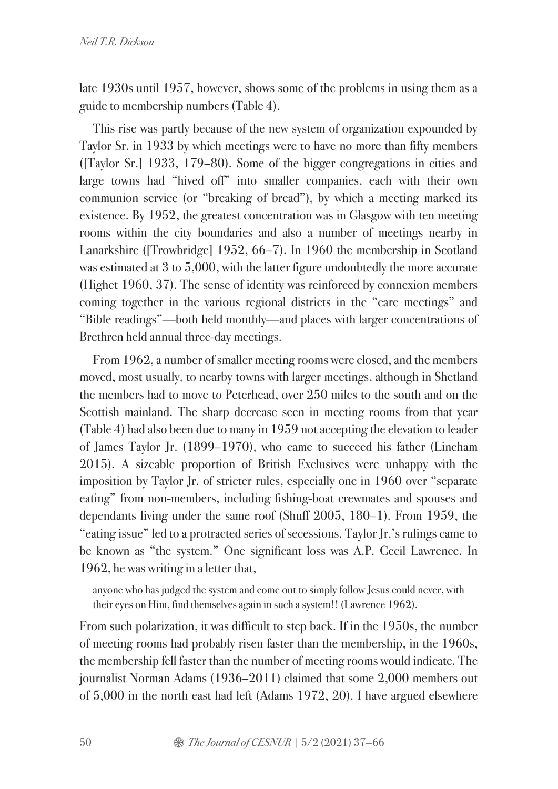late 1930s until 1957, however, shows some of the problems in using them as a guide to membership numbers (Table 4).

This rise was partly because of the new system of organization expounded by Taylor Sr. in 1933 by which meetings were to have no more than fifty members ([Taylor Sr.] 1933, 179–80). Some of the bigger congregations in cities and large towns had "hived off" into smaller companies, each with their own communion service (or "breaking of bread"), by which a meeting marked its existence. By 1952, the greatest concentration was in Glasgow with ten meeting rooms within the city boundaries and also a number of meetings nearby in Lanarkshire ([Trowbridge] 1952, 66–7). In 1960 the membership in Scotland was estimated at 3 to 5,000, with the latter figure undoubtedly the more accurate (Highet 1960, 37). The sense of identity was reinforced by connexion members coming together in the various regional districts in the "care meetings" and "Bible readings"—both held monthly—and places with larger concentrations of Brethren held annual three-day meetings.

From 1962, a number of smaller meeting rooms were closed, and the members moved, most usually, to nearby towns with larger meetings, although in Shetland the members had to move to Peterhead, over 250 miles to the south and on the Scottish mainland. The sharp decrease seen in meeting rooms from that year (Table 4) had also been due to many in 1959 not accepting the elevation to leader of James Taylor Jr. (1899–1970), who came to succeed his father (Lineham 2015). A sizeable proportion of British Exclusives were unhappy with the imposition by Taylor Jr. of stricter rules, especially one in 1960 over "separate eating" from non-members, including fishing-boat crewmates and spouses and dependants living under the same roof (Shuff 2005, 180–1). From 1959, the "eating issue" led to a protracted series of secessions. Taylor Jr.'s rulings came to be known as "the system." One significant loss was A.P. Cecil Lawrence. In 1962, he was writing in a letter that,

anyone who has judged the system and come out to simply follow Jesus could never, with their eyes on Him, find themselves again in such a system!! (Lawrence 1962).

From such polarization, it was difficult to step back. If in the 1950s, the number of meeting rooms had probably risen faster than the membership, in the 1960s, the membership fell faster than the number of meeting rooms would indicate. The journalist Norman Adams (1936–2011) claimed that some 2,000 members out of 5,000 in the north east had left (Adams 1972, 20). I have argued elsewhere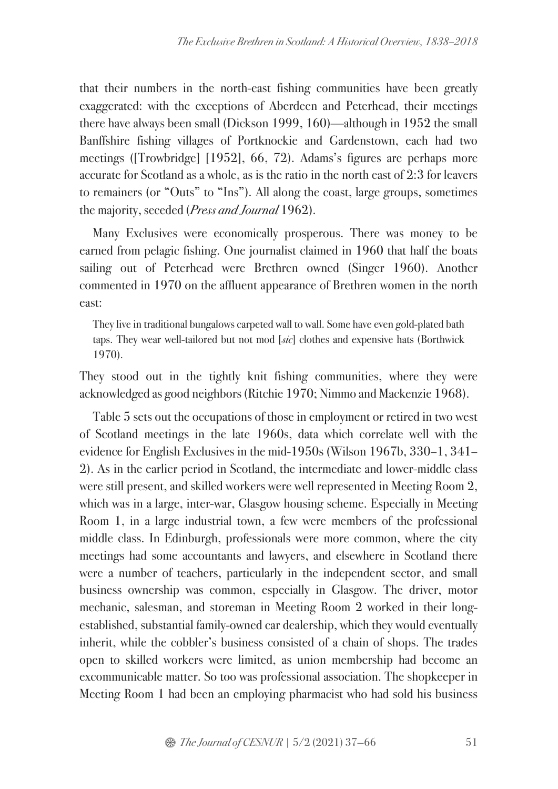that their numbers in the north-east fishing communities have been greatly exaggerated: with the exceptions of Aberdeen and Peterhead, their meetings there have always been small (Dickson 1999, 160)—although in 1952 the small Banffshire fishing villages of Portknockie and Gardenstown, each had two meetings ([Trowbridge] [1952], 66, 72). Adams's figures are perhaps more accurate for Scotland as a whole, as is the ratio in the north east of 2:3 for leavers to remainers (or "Outs" to "Ins"). All along the coast, large groups, sometimes the majority, seceded (Press and Journal 1962).

Many Exclusives were economically prosperous. There was money to be earned from pelagic fishing. One journalist claimed in 1960 that half the boats sailing out of Peterhead were Brethren owned (Singer 1960). Another commented in 1970 on the affluent appearance of Brethren women in the north east:

They live in traditional bungalows carpeted wall to wall. Some have even gold-plated bath taps. They wear well-tailored but not mod  $[s\alpha]$  clothes and expensive hats (Borthwick 1970).

They stood out in the tightly knit fishing communities, where they were acknowledged as good neighbors (Ritchie 1970; Nimmo and Mackenzie 1968).

Table 5 sets out the occupations of those in employment or retired in two west of Scotland meetings in the late 1960s, data which correlate well with the evidence for English Exclusives in the mid-1950s (Wilson 1967b, 330–1, 341– 2). As in the earlier period in Scotland, the intermediate and lower-middle class were still present, and skilled workers were well represented in Meeting Room 2, which was in a large, inter-war, Glasgow housing scheme. Especially in Meeting Room 1, in a large industrial town, a few were members of the professional middle class. In Edinburgh, professionals were more common, where the city meetings had some accountants and lawyers, and elsewhere in Scotland there were a number of teachers, particularly in the independent sector, and small business ownership was common, especially in Glasgow. The driver, motor mechanic, salesman, and storeman in Meeting Room 2 worked in their longestablished, substantial family-owned car dealership, which they would eventually inherit, while the cobbler's business consisted of a chain of shops. The trades open to skilled workers were limited, as union membership had become an excommunicable matter. So too was professional association. The shopkeeper in Meeting Room 1 had been an employing pharmacist who had sold his business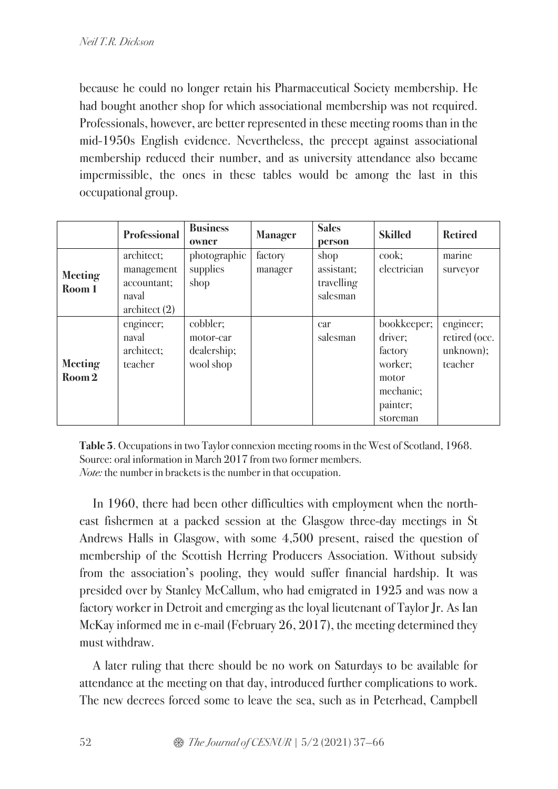because he could no longer retain his Pharmaceutical Society membership. He had bought another shop for which associational membership was not required. Professionals, however, are better represented in these meeting rooms than in the mid-1950s English evidence. Nevertheless, the precept against associational membership reduced their number, and as university attendance also became impermissible, the ones in these tables would be among the last in this occupational group.

|                          | <b>Professional</b>                                                 | <b>Business</b><br>owner                          | <b>Manager</b>     | <b>Sales</b><br>person                       | <b>Skilled</b>                                                                             | <b>Retired</b>                                     |
|--------------------------|---------------------------------------------------------------------|---------------------------------------------------|--------------------|----------------------------------------------|--------------------------------------------------------------------------------------------|----------------------------------------------------|
| <b>Meeting</b><br>Room 1 | architect;<br>management<br>accountant;<br>naval<br>$\architect(2)$ | photographic<br>supplies<br>shop                  | factory<br>manager | shop<br>assistant;<br>travelling<br>salesman | cook;<br>electrician                                                                       | marine<br>surveyor                                 |
| <b>Meeting</b><br>Room 2 | engineer;<br>naval<br>architect;<br>teacher                         | cobbler;<br>motor-car<br>dealership;<br>wool shop |                    | car<br>salesman                              | bookkeeper;<br>driver;<br>factory<br>worker;<br>motor<br>mechanic;<br>painter;<br>storeman | engineer;<br>retired (occ.<br>unknown);<br>teacher |

**Table 5**. Occupations in two Taylor connexion meeting rooms in the West of Scotland, 1968. Source: oral information in March 2017 from two former members. Note: the number in brackets is the number in that occupation.

In 1960, there had been other difficulties with employment when the northeast fishermen at a packed session at the Glasgow three-day meetings in St Andrews Halls in Glasgow, with some 4,500 present, raised the question of membership of the Scottish Herring Producers Association. Without subsidy from the association's pooling, they would suffer financial hardship. It was presided over by Stanley McCallum, who had emigrated in 1925 and was now a factory worker in Detroit and emerging as the loyal lieutenant of Taylor Jr. As Ian McKay informed me in e-mail (February 26, 2017), the meeting determined they must withdraw.

A later ruling that there should be no work on Saturdays to be available for attendance at the meeting on that day, introduced further complications to work. The new decrees forced some to leave the sea, such as in Peterhead, Campbell

52  $\otimes$  *The Journal of CESNUR* | 5/2 (2021) 37–66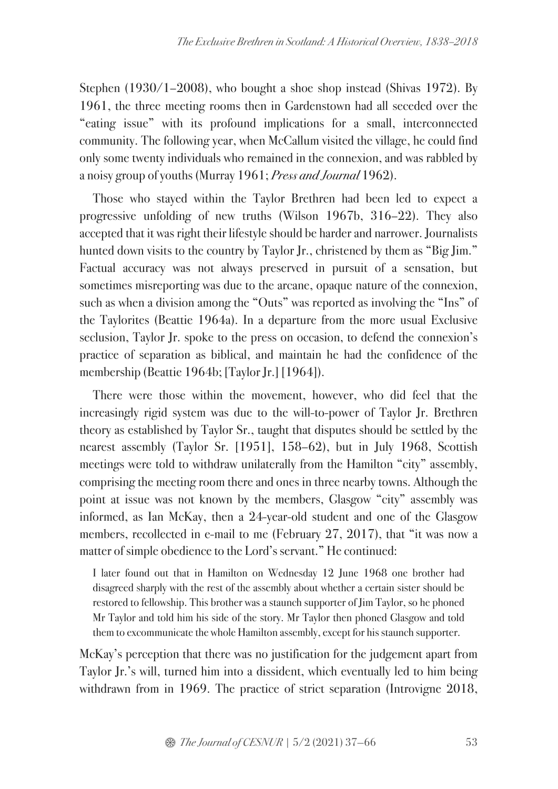Stephen (1930/1–2008), who bought a shoe shop instead (Shivas 1972). By 1961, the three meeting rooms then in Gardenstown had all seceded over the "eating issue" with its profound implications for a small, interconnected community. The following year, when McCallum visited the village, he could find only some twenty individuals who remained in the connexion, and was rabbled by a noisy group of youths (Murray 1961; Press and Journal 1962).

Those who stayed within the Taylor Brethren had been led to expect a progressive unfolding of new truths (Wilson 1967b, 316–22). They also accepted that it was right their lifestyle should be harder and narrower. Journalists hunted down visits to the country by Taylor Jr., christened by them as "Big Jim." Factual accuracy was not always preserved in pursuit of a sensation, but sometimes misreporting was due to the arcane, opaque nature of the connexion, such as when a division among the "Outs" was reported as involving the "Ins" of the Taylorites (Beattie 1964a). In a departure from the more usual Exclusive seclusion, Taylor Jr. spoke to the press on occasion, to defend the connexion's practice of separation as biblical, and maintain he had the confidence of the membership (Beattie 1964b; [Taylor Jr.] [1964]).

There were those within the movement, however, who did feel that the increasingly rigid system was due to the will-to-power of Taylor Jr. Brethren theory as established by Taylor Sr., taught that disputes should be settled by the nearest assembly (Taylor Sr. [1951], 158–62), but in July 1968, Scottish meetings were told to withdraw unilaterally from the Hamilton "city" assembly, comprising the meeting room there and ones in three nearby towns. Although the point at issue was not known by the members, Glasgow "city" assembly was informed, as Ian McKay, then a 24-year-old student and one of the Glasgow members, recollected in e-mail to me (February 27, 2017), that "it was now a matter of simple obedience to the Lord's servant." He continued:

I later found out that in Hamilton on Wednesday 12 June 1968 one brother had disagreed sharply with the rest of the assembly about whether a certain sister should be restored to fellowship. This brother was a staunch supporter of Jim Taylor, so he phoned Mr Taylor and told him his side of the story. Mr Taylor then phoned Glasgow and told them to excommunicate the whole Hamilton assembly, except for his staunch supporter.

McKay's perception that there was no justification for the judgement apart from Taylor Jr.'s will, turned him into a dissident, which eventually led to him being withdrawn from in 1969. The practice of strict separation (Introvigne 2018,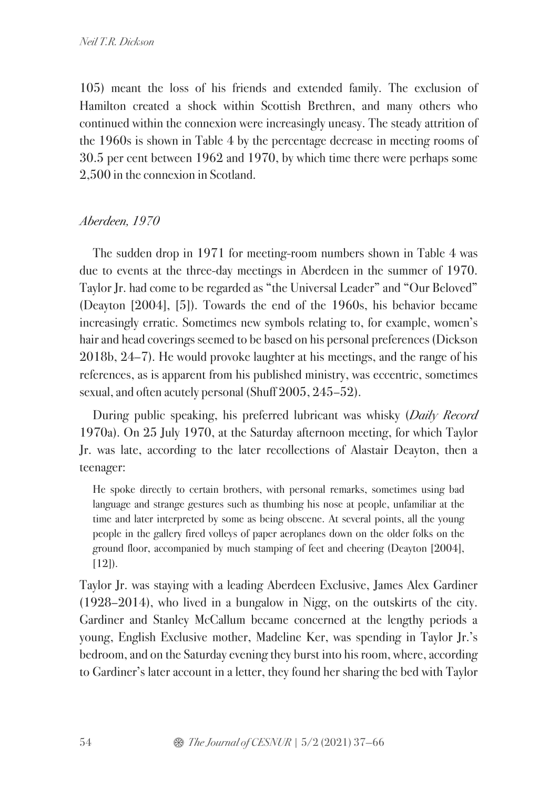105) meant the loss of his friends and extended family. The exclusion of Hamilton created a shock within Scottish Brethren, and many others who continued within the connexion were increasingly uneasy. The steady attrition of the 1960s is shown in Table 4 by the percentage decrease in meeting rooms of 30.5 per cent between 1962 and 1970, by which time there were perhaps some 2,500 in the connexion in Scotland.

# Aberdeen, 1970

The sudden drop in 1971 for meeting-room numbers shown in Table 4 was due to events at the three-day meetings in Aberdeen in the summer of 1970. Taylor Jr. had come to be regarded as "the Universal Leader" and "Our Beloved" (Deayton [2004], [5]). Towards the end of the 1960s, his behavior became increasingly erratic. Sometimes new symbols relating to, for example, women's hair and head coverings seemed to be based on his personal preferences (Dickson 2018b, 24–7). He would provoke laughter at his meetings, and the range of his references, as is apparent from his published ministry, was eccentric, sometimes sexual, and often acutely personal (Shuff 2005, 245–52).

During public speaking, his preferred lubricant was whisky (*Daily Record* 1970a). On 25 July 1970, at the Saturday afternoon meeting, for which Taylor Jr. was late, according to the later recollections of Alastair Deayton, then a teenager:

He spoke directly to certain brothers, with personal remarks, sometimes using bad language and strange gestures such as thumbing his nose at people, unfamiliar at the time and later interpreted by some as being obscene. At several points, all the young people in the gallery fired volleys of paper aeroplanes down on the older folks on the ground floor, accompanied by much stamping of feet and cheering (Deayton [2004],  $[12]$ ).

Taylor Jr. was staying with a leading Aberdeen Exclusive, James Alex Gardiner (1928–2014), who lived in a bungalow in Nigg, on the outskirts of the city. Gardiner and Stanley McCallum became concerned at the lengthy periods a young, English Exclusive mother, Madeline Ker, was spending in Taylor Jr.'s bedroom, and on the Saturday evening they burst into his room, where, according to Gardiner's later account in a letter, they found her sharing the bed with Taylor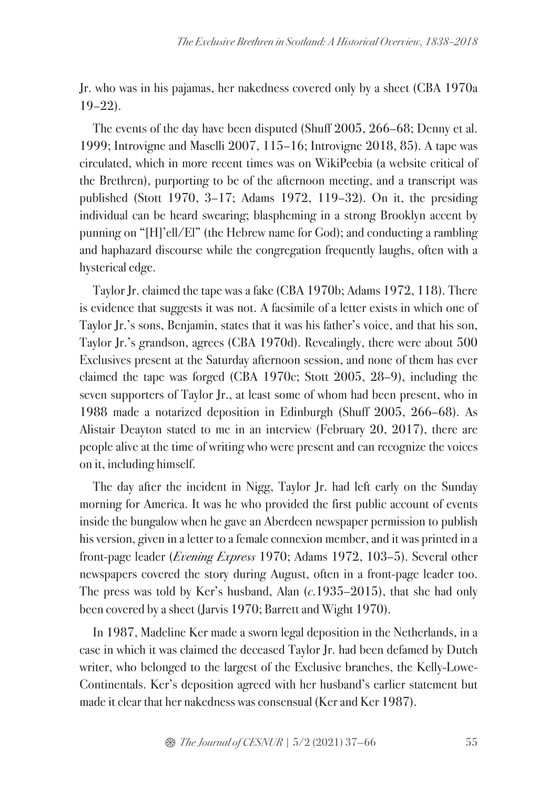Jr. who was in his pajamas, her nakedness covered only by a sheet (CBA 1970a  $19-22$ ).

The events of the day have been disputed (Shuff 2005, 266–68; Denny et al. 1999; Introvigne and Maselli 2007, 115–16; Introvigne 2018, 85). A tape was circulated, which in more recent times was on WikiPeebia (a website critical of the Brethren), purporting to be of the afternoon meeting, and a transcript was published (Stott 1970, 3–17; Adams 1972, 119–32). On it, the presiding individual can be heard swearing; blaspheming in a strong Brooklyn accent by punning on "[H]'ell/El" (the Hebrew name for God); and conducting a rambling and haphazard discourse while the congregation frequently laughs, often with a hysterical edge.

Taylor Jr. claimed the tape was a fake (CBA 1970b; Adams 1972, 118). There is evidence that suggests it was not. A facsimile of a letter exists in which one of Taylor Jr.'s sons, Benjamin, states that it was his father's voice, and that his son, Taylor Jr.'s grandson, agrees (CBA 1970d). Revealingly, there were about 500 Exclusives present at the Saturday afternoon session, and none of them has ever claimed the tape was forged (CBA 1970c; Stott 2005, 28–9), including the seven supporters of Taylor Jr., at least some of whom had been present, who in 1988 made a notarized deposition in Edinburgh (Shuff 2005, 266–68). As Alistair Deayton stated to me in an interview (February 20, 2017), there are people alive at the time of writing who were present and can recognize the voices on it, including himself.

The day after the incident in Nigg, Taylor Jr. had left early on the Sunday morning for America. It was he who provided the first public account of events inside the bungalow when he gave an Aberdeen newspaper permission to publish his version, given in a letter to a female connexion member, and it was printed in a front-page leader (Evening Express 1970; Adams 1972, 103–5). Several other newspapers covered the story during August, often in a front-page leader too. The press was told by Ker's husband, Alan  $(c.1935-2015)$ , that she had only been covered by a sheet (Jarvis 1970; Barrett and Wight 1970).

In 1987, Madeline Ker made a sworn legal deposition in the Netherlands, in a case in which it was claimed the deceased Taylor Jr. had been defamed by Dutch writer, who belonged to the largest of the Exclusive branches, the Kelly-Lowe-Continentals. Ker's deposition agreed with her husband's earlier statement but made it clear that her nakedness was consensual (Ker and Ker 1987).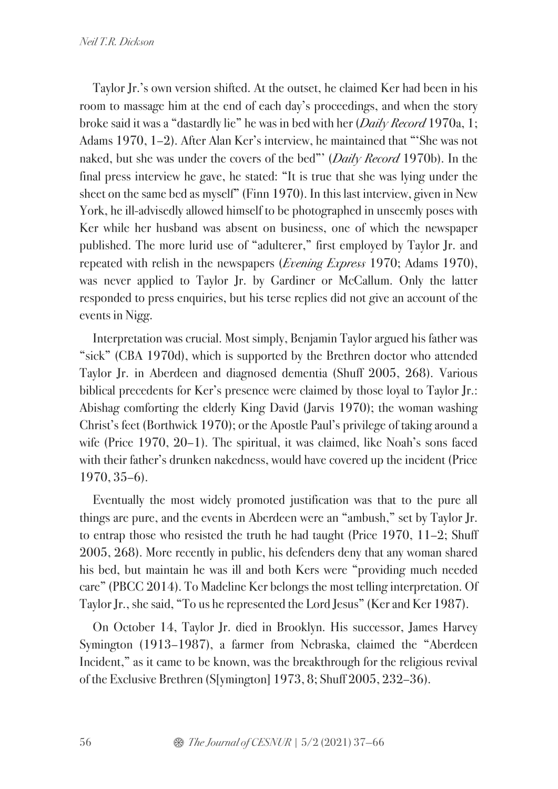Taylor Jr.'s own version shifted. At the outset, he claimed Ker had been in his room to massage him at the end of each day's proceedings, and when the story broke said it was a "dastardly lie" he was in bed with her (*Daily Record* 1970a, 1; Adams 1970, 1–2). After Alan Ker's interview, he maintained that "'She was not naked, but she was under the covers of the bed"' (*Daily Record* 1970b). In the final press interview he gave, he stated: "It is true that she was lying under the sheet on the same bed as myself" (Finn 1970). In this last interview, given in New York, he ill-advisedly allowed himself to be photographed in unseemly poses with Ker while her husband was absent on business, one of which the newspaper published. The more lurid use of "adulterer," first employed by Taylor Jr. and repeated with relish in the newspapers (*Evening Express* 1970; Adams 1970), was never applied to Taylor Jr. by Gardiner or McCallum. Only the latter responded to press enquiries, but his terse replies did not give an account of the events in Nigg.

Interpretation was crucial. Most simply, Benjamin Taylor argued his father was "sick" (CBA 1970d), which is supported by the Brethren doctor who attended Taylor Jr. in Aberdeen and diagnosed dementia (Shuff 2005, 268). Various biblical precedents for Ker's presence were claimed by those loyal to Taylor Jr.: Abishag comforting the elderly King David (Jarvis 1970); the woman washing Christ's feet (Borthwick 1970); or the Apostle Paul's privilege of taking around a wife (Price 1970, 20–1). The spiritual, it was claimed, like Noah's sons faced with their father's drunken nakedness, would have covered up the incident (Price 1970, 35–6).

Eventually the most widely promoted justification was that to the pure all things are pure, and the events in Aberdeen were an "ambush," set by Taylor Jr. to entrap those who resisted the truth he had taught (Price 1970, 11–2; Shuff 2005, 268). More recently in public, his defenders deny that any woman shared his bed, but maintain he was ill and both Kers were "providing much needed care" (PBCC 2014). To Madeline Ker belongs the most telling interpretation. Of Taylor Jr., she said, "To us he represented the Lord Jesus" (Ker and Ker 1987).

On October 14, Taylor Jr. died in Brooklyn. His successor, James Harvey Symington (1913–1987), a farmer from Nebraska, claimed the "Aberdeen Incident," as it came to be known, was the breakthrough for the religious revival of the Exclusive Brethren (S[ymington] 1973, 8; Shuff 2005, 232–36).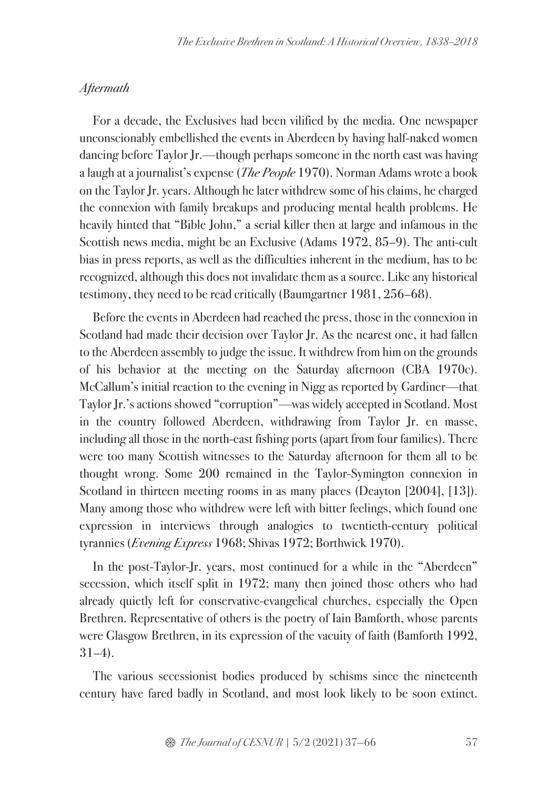#### **Aftermath**

For a decade, the Exclusives had been vilified by the media. One newspaper unconscionably embellished the events in Aberdeen by having half-naked women dancing before Taylor Jr.—though perhaps someone in the north east was having a laugh at a journalist's expense (The People 1970). Norman Adams wrote a book on the Taylor Jr. years. Although he later withdrew some of his claims, he charged the connexion with family breakups and producing mental health problems. He heavily hinted that "Bible John," a serial killer then at large and infamous in the Scottish news media, might be an Exclusive (Adams 1972, 85–9). The anti-cult bias in press reports, as well as the difficulties inherent in the medium, has to be recognized, although this does not invalidate them as a source. Like any historical testimony, they need to be read critically (Baumgartner 1981, 256–68).

Before the events in Aberdeen had reached the press, those in the connexion in Scotland had made their decision over Taylor Jr. As the nearest one, it had fallen to the Aberdeen assembly to judge the issue. It withdrew from him on the grounds of his behavior at the meeting on the Saturday afternoon (CBA 1970c). McCallum's initial reaction to the evening in Nigg as reported by Gardiner—that Taylor Jr.'s actions showed "corruption"—was widely accepted in Scotland. Most in the country followed Aberdeen, withdrawing from Taylor Jr. en masse, including all those in the north-east fishing ports (apart from four families). There were too many Scottish witnesses to the Saturday afternoon for them all to be thought wrong. Some 200 remained in the Taylor-Symington connexion in Scotland in thirteen meeting rooms in as many places (Deayton [2004], [13]). Many among those who withdrew were left with bitter feelings, which found one expression in interviews through analogies to twentieth-century political tyrannies (Evening Express 1968; Shivas 1972; Borthwick 1970).

In the post-Taylor-Jr. years, most continued for a while in the "Aberdeen" secession, which itself split in 1972; many then joined those others who had already quietly left for conservative-evangelical churches, especially the Open Brethren. Representative of others is the poetry of Iain Bamforth, whose parents were Glasgow Brethren, in its expression of the vacuity of faith (Bamforth 1992, 31–4).

The various secessionist bodies produced by schisms since the nineteenth century have fared badly in Scotland, and most look likely to be soon extinct.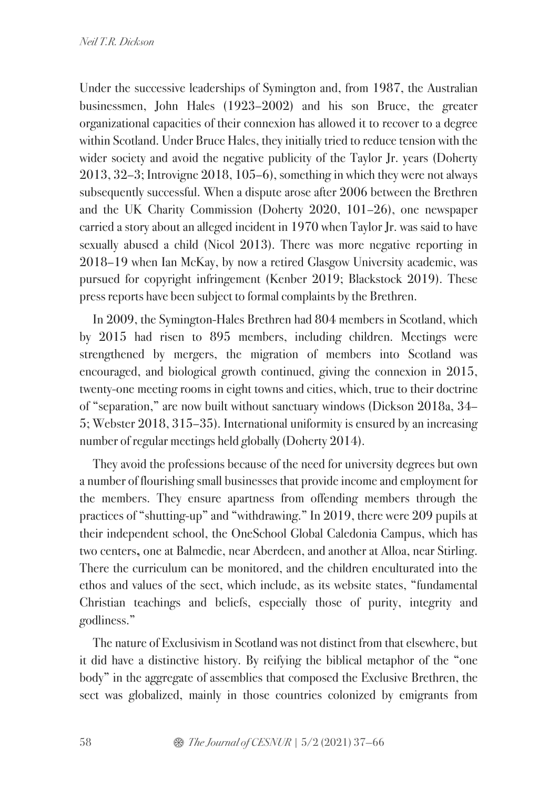Under the successive leaderships of Symington and, from 1987, the Australian businessmen, John Hales (1923–2002) and his son Bruce, the greater organizational capacities of their connexion has allowed it to recover to a degree within Scotland. Under Bruce Hales, they initially tried to reduce tension with the wider society and avoid the negative publicity of the Taylor Jr. years (Doherty 2013, 32–3; Introvigne 2018, 105–6), something in which they were not always subsequently successful. When a dispute arose after 2006 between the Brethren and the UK Charity Commission (Doherty 2020, 101–26), one newspaper carried a story about an alleged incident in 1970 when Taylor Jr. was said to have sexually abused a child (Nicol 2013). There was more negative reporting in 2018–19 when Ian McKay, by now a retired Glasgow University academic, was pursued for copyright infringement (Kenber 2019; Blackstock 2019). These press reports have been subject to formal complaints by the Brethren.

In 2009, the Symington-Hales Brethren had 804 members in Scotland, which by 2015 had risen to 895 members, including children. Meetings were strengthened by mergers, the migration of members into Scotland was encouraged, and biological growth continued, giving the connexion in 2015, twenty-one meeting rooms in eight towns and cities, which, true to their doctrine of "separation," are now built without sanctuary windows (Dickson 2018a, 34– 5; Webster 2018, 315–35). International uniformity is ensured by an increasing number of regular meetings held globally (Doherty 2014).

They avoid the professions because of the need for university degrees but own a number of flourishing small businesses that provide income and employment for the members. They ensure apartness from offending members through the practices of "shutting-up" and "withdrawing." In 2019, there were 209 pupils at their independent school, the OneSchool Global Caledonia Campus, which has two centers**,** one at Balmedie, near Aberdeen, and another at Alloa, near Stirling. There the curriculum can be monitored, and the children enculturated into the ethos and values of the sect, which include, as its website states, "fundamental Christian teachings and beliefs, especially those of purity, integrity and godliness."

The nature of Exclusivism in Scotland was not distinct from that elsewhere, but it did have a distinctive history. By reifying the biblical metaphor of the "one body" in the aggregate of assemblies that composed the Exclusive Brethren, the sect was globalized, mainly in those countries colonized by emigrants from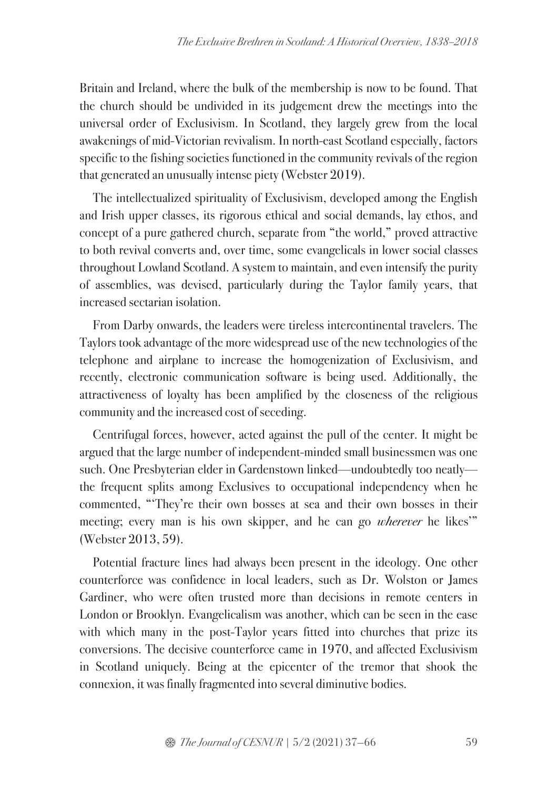Britain and Ireland, where the bulk of the membership is now to be found. That the church should be undivided in its judgement drew the meetings into the universal order of Exclusivism. In Scotland, they largely grew from the local awakenings of mid-Victorian revivalism. In north-east Scotland especially, factors specific to the fishing societies functioned in the community revivals of the region that generated an unusually intense piety (Webster 2019).

The intellectualized spirituality of Exclusivism, developed among the English and Irish upper classes, its rigorous ethical and social demands, lay ethos, and concept of a pure gathered church, separate from "the world," proved attractive to both revival converts and, over time, some evangelicals in lower social classes throughout Lowland Scotland. A system to maintain, and even intensify the purity of assemblies, was devised, particularly during the Taylor family years, that increased sectarian isolation.

From Darby onwards, the leaders were tireless intercontinental travelers. The Taylors took advantage of the more widespread use of the new technologies of the telephone and airplane to increase the homogenization of Exclusivism, and recently, electronic communication software is being used. Additionally, the attractiveness of loyalty has been amplified by the closeness of the religious community and the increased cost of seceding.

Centrifugal forces, however, acted against the pull of the center. It might be argued that the large number of independent-minded small businessmen was one such. One Presbyterian elder in Gardenstown linked—undoubtedly too neatly the frequent splits among Exclusives to occupational independency when he commented, "'They're their own bosses at sea and their own bosses in their meeting; every man is his own skipper, and he can go *wherever* he likes" (Webster 2013, 59).

Potential fracture lines had always been present in the ideology. One other counterforce was confidence in local leaders, such as Dr. Wolston or James Gardiner, who were often trusted more than decisions in remote centers in London or Brooklyn. Evangelicalism was another, which can be seen in the ease with which many in the post-Taylor years fitted into churches that prize its conversions. The decisive counterforce came in 1970, and affected Exclusivism in Scotland uniquely. Being at the epicenter of the tremor that shook the connexion, it was finally fragmented into several diminutive bodies.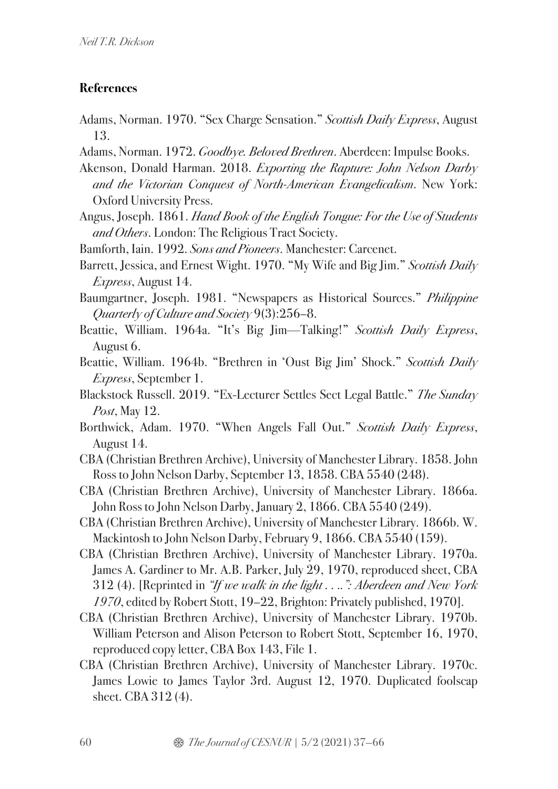# **References**

- Adams, Norman. 1970. "Sex Charge Sensation." Scottish Daily Express, August 13.
- Adams, Norman. 1972. Goodbye. Beloved Brethren. Aberdeen: Impulse Books.
- Akenson, Donald Harman. 2018. Exporting the Rapture: John Nelson Darby and the Victorian Conquest of North-American Evangelicalism. New York: Oxford University Press.
- Angus, Joseph. 1861. Hand Book of the English Tongue: For the Use of Students and Others. London: The Religious Tract Society.
- Bamforth, Iain. 1992. Sons and Pioneers. Manchester: Carcenet.
- Barrett, Jessica, and Ernest Wight. 1970. "My Wife and Big Jim." Scottish Daily Express, August 14.
- Baumgartner, Joseph. 1981. "Newspapers as Historical Sources." Philippine Quarterly of Culture and Society 9(3):256–8.
- Beattie, William. 1964a. "It's Big Jim—Talking!" Scottish Daily Express, August 6.
- Beattie, William. 1964b. "Brethren in 'Oust Big Jim' Shock." Scottish Daily Express, September 1.
- Blackstock Russell. 2019. "Ex-Lecturer Settles Sect Legal Battle." The Sunday Post, May 12.
- Borthwick, Adam. 1970. "When Angels Fall Out." Scottish Daily Express, August 14.
- CBA (Christian Brethren Archive), University of Manchester Library. 1858. John Ross to John Nelson Darby, September 13, 1858. CBA 5540 (248).
- CBA (Christian Brethren Archive), University of Manchester Library. 1866a. John Ross to John Nelson Darby, January 2, 1866. CBA 5540 (249).
- CBA (Christian Brethren Archive), University of Manchester Library. 1866b. W. Mackintosh to John Nelson Darby, February 9, 1866. CBA 5540 (159).
- CBA (Christian Brethren Archive), University of Manchester Library. 1970a. James A. Gardiner to Mr. A.B. Parker, July 29, 1970, reproduced sheet, CBA 312 (4). [Reprinted in "If we walk in the light . . ..": Aberdeen and New York 1970, edited by Robert Stott, 19–22, Brighton: Privately published, 1970].
- CBA (Christian Brethren Archive), University of Manchester Library. 1970b. William Peterson and Alison Peterson to Robert Stott, September 16, 1970, reproduced copy letter, CBA Box 143, File 1.
- CBA (Christian Brethren Archive), University of Manchester Library. 1970c. James Lowie to James Taylor 3rd. August 12, 1970. Duplicated foolscap sheet. CBA 312 (4).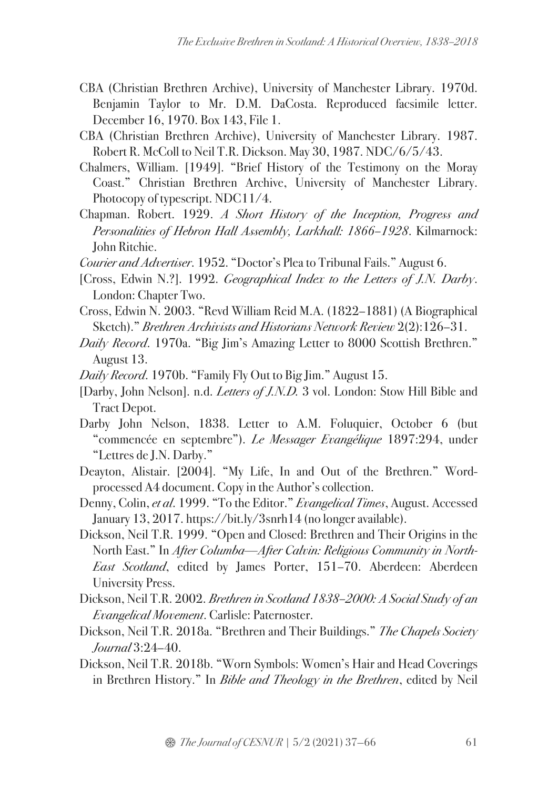- CBA (Christian Brethren Archive), University of Manchester Library. 1970d. Benjamin Taylor to Mr. D.M. DaCosta. Reproduced facsimile letter. December 16, 1970. Box 143, File 1.
- CBA (Christian Brethren Archive), University of Manchester Library. 1987. Robert R. McColl to Neil T.R. Dickson. May 30, 1987. NDC/6/5/43.
- Chalmers, William. [1949]. "Brief History of the Testimony on the Moray Coast." Christian Brethren Archive, University of Manchester Library. Photocopy of typescript. NDC11/4.
- Chapman. Robert. 1929. A Short History of the Inception, Progress and Personalities of Hebron Hall Assembly, Larkhall: 1866–1928. Kilmarnock: John Ritchie.

Courier and Advertiser. 1952. "Doctor's Plea to Tribunal Fails." August 6.

- [Cross, Edwin N.?]. 1992. Geographical Index to the Letters of J.N. Darby. London: Chapter Two.
- Cross, Edwin N. 2003. "Revd William Reid M.A. (1822–1881) (A Biographical Sketch)." Brethren Archivists and Historians Network Review 2(2):126–31.
- Daily Record. 1970a. "Big Jim's Amazing Letter to 8000 Scottish Brethren." August 13.
- Daily Record. 1970b. "Family Fly Out to Big Jim." August 15.
- [Darby, John Nelson]. n.d. Letters of J.N.D. 3 vol. London: Stow Hill Bible and Tract Depot.
- Darby John Nelson, 1838. Letter to A.M. Foluquier, October 6 (but "commencée en septembre"). Le Messager Evangélique 1897:294, under "Lettres de J.N. Darby."
- Deayton, Alistair. [2004]. "My Life, In and Out of the Brethren." Wordprocessed A4 document. Copy in the Author's collection.
- Denny, Colin, et al. 1999. "To the Editor." Evangelical Times, August. Accessed January 13, 2017. https://bit.ly/3snrh14 (no longer available).
- Dickson, Neil T.R. 1999. "Open and Closed: Brethren and Their Origins in the North East." In After Columba—After Calvin: Religious Community in North-East Scotland, edited by James Porter, 151–70. Aberdeen: Aberdeen University Press.
- Dickson, Neil T.R. 2002. Brethren in Scotland 1838–2000: A Social Study of an Evangelical Movement. Carlisle: Paternoster.
- Dickson, Neil T.R. 2018a. "Brethren and Their Buildings." The Chapels Society Journal 3:24–40.
- Dickson, Neil T.R. 2018b. "Worn Symbols: Women's Hair and Head Coverings in Brethren History." In Bible and Theology in the Brethren, edited by Neil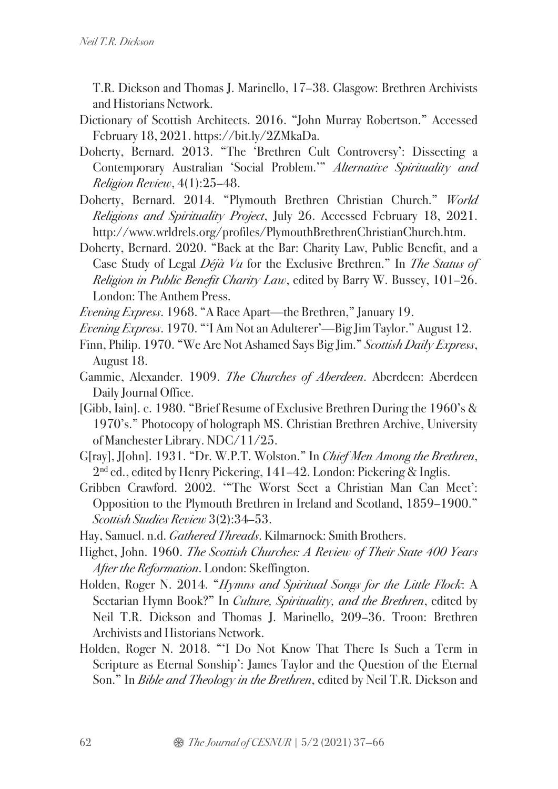T.R. Dickson and Thomas J. Marinello, 17–38. Glasgow: Brethren Archivists and Historians Network.

- Dictionary of Scottish Architects. 2016. "John Murray Robertson." Accessed February 18, 2021. https://bit.ly/2ZMkaDa.
- Doherty, Bernard. 2013. "The 'Brethren Cult Controversy': Dissecting a Contemporary Australian 'Social Problem.'" Alternative Spirituality and Religion Review, 4(1):25–48.
- Doherty, Bernard. 2014. "Plymouth Brethren Christian Church." World Religions and Spirituality Project, July 26. Accessed February 18, 2021. http://www.wrldrels.org/profiles/PlymouthBrethrenChristianChurch.htm.
- Doherty, Bernard. 2020. "Back at the Bar: Charity Law, Public Benefit, and a Case Study of Legal Déjà Vu for the Exclusive Brethren." In The Status of Religion in Public Benefit Charity Law, edited by Barry W. Bussey, 101–26. London: The Anthem Press.
- Evening Express. 1968. "A Race Apart—the Brethren," January 19.
- Evening Express. 1970. "'I Am Not an Adulterer'—Big Jim Taylor." August 12.
- Finn, Philip. 1970. "We Are Not Ashamed Says Big Jim." Scottish Daily Express, August 18.
- Gammie, Alexander. 1909. The Churches of Aberdeen. Aberdeen: Aberdeen Daily Journal Office.
- [Gibb, Iain]. c. 1980. "Brief Resume of Exclusive Brethren During the 1960's & 1970's." Photocopy of holograph MS. Christian Brethren Archive, University of Manchester Library. NDC/11/25.
- G[ray], J[ohn]. 1931. "Dr. W.P.T. Wolston." In Chief Men Among the Brethren, 2<sup>nd</sup> ed., edited by Henry Pickering, 141-42. London: Pickering & Inglis.
- Gribben Crawford. 2002. '"The Worst Sect a Christian Man Can Meet': Opposition to the Plymouth Brethren in Ireland and Scotland, 1859–1900." Scottish Studies Review 3(2):34–53.
- Hay, Samuel. n.d. *Gathered Threads*. Kilmarnock: Smith Brothers.
- Highet, John. 1960. The Scottish Churches: A Review of Their State 400 Years After the Reformation. London: Skeffington.
- Holden, Roger N. 2014. "Hymns and Spiritual Songs for the Little Flock: A Sectarian Hymn Book?" In *Culture, Spirituality, and the Brethren*, edited by Neil T.R. Dickson and Thomas J. Marinello, 209–36. Troon: Brethren Archivists and Historians Network.
- Holden, Roger N. 2018. "'I Do Not Know That There Is Such a Term in Scripture as Eternal Sonship': James Taylor and the Question of the Eternal Son." In *Bible and Theology in the Brethren*, edited by Neil T.R. Dickson and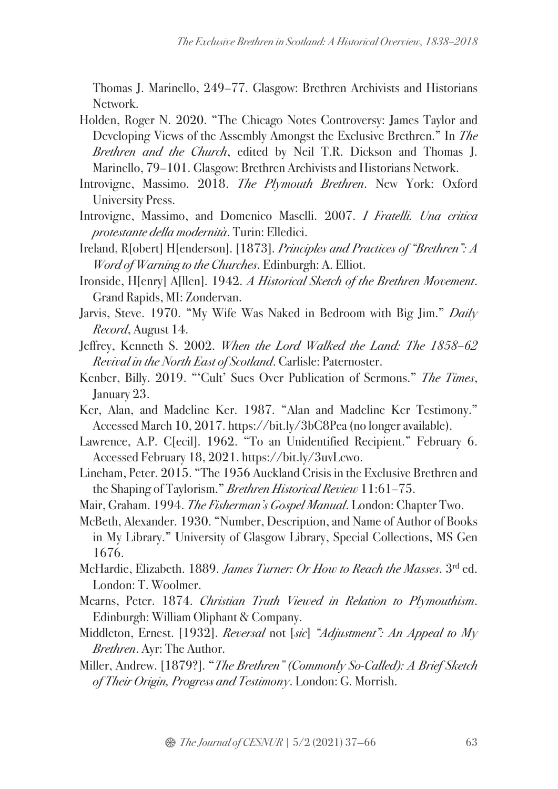Thomas J. Marinello, 249–77. Glasgow: Brethren Archivists and Historians Network.

- Holden, Roger N. 2020. "The Chicago Notes Controversy: James Taylor and Developing Views of the Assembly Amongst the Exclusive Brethren." In The Brethren and the Church, edited by Neil T.R. Dickson and Thomas J. Marinello, 79–101. Glasgow: Brethren Archivists and Historians Network.
- Introvigne, Massimo. 2018. The Plymouth Brethren. New York: Oxford University Press.
- Introvigne, Massimo, and Domenico Maselli. 2007. I Fratelli. Una critica protestante della modernità. Turin: Elledici.
- Ireland, R[obert] H[enderson]. [1873]. Principles and Practices of "Brethren": A Word of Warning to the Churches. Edinburgh: A. Elliot.
- Ironside, H[enry] A[llen]. 1942. A Historical Sketch of the Brethren Movement. Grand Rapids, MI: Zondervan.
- Jarvis, Steve. 1970. "My Wife Was Naked in Bedroom with Big Jim." Daily Record, August 14.
- Jeffrey, Kenneth S. 2002. When the Lord Walked the Land: The 1858–62 Revival in the North East of Scotland. Carlisle: Paternoster.
- Kenber, Billy. 2019. "'Cult' Sues Over Publication of Sermons." The Times, January 23.
- Ker, Alan, and Madeline Ker. 1987. "Alan and Madeline Ker Testimony." Accessed March 10, 2017. https://bit.ly/3bC8Pea (no longer available).
- Lawrence, A.P. C[ecil]. 1962. "To an Unidentified Recipient." February 6. Accessed February 18, 2021. https://bit.ly/3uvLcwo.
- Lineham, Peter. 2015. "The 1956 Auckland Crisis in the Exclusive Brethren and the Shaping of Taylorism." Brethren Historical Review 11:61–75.
- Mair, Graham. 1994. The Fisherman's Gospel Manual. London: Chapter Two.
- McBeth, Alexander. 1930. "Number, Description, and Name of Author of Books in My Library." University of Glasgow Library, Special Collections, MS Gen 1676.
- McHardie, Elizabeth. 1889. James Turner: Or How to Reach the Masses. 3rd ed. London: T. Woolmer.
- Mearns, Peter. 1874. Christian Truth Viewed in Relation to Plymouthism. Edinburgh: William Oliphant & Company.
- Middleton, Ernest. [1932]. Reversal not [sic] "Adjustment": An Appeal to My Brethren. Ayr: The Author.
- Miller, Andrew. [1879?]. "The Brethren" (Commonly So-Called): A Brief Sketch of Their Origin, Progress and Testimony. London: G. Morrish.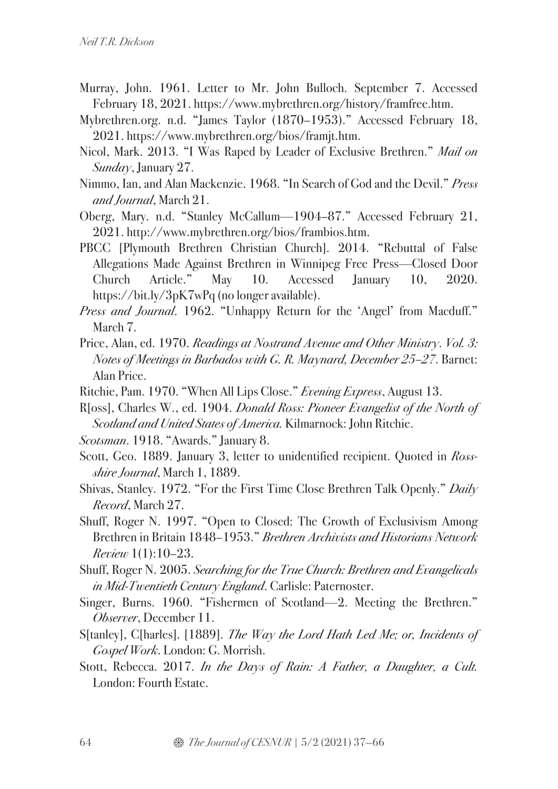- Murray, John. 1961. Letter to Mr. John Bulloch. September 7. Accessed February 18, 2021. https://www.mybrethren.org/history/framfree.htm.
- Mybrethren.org. n.d. "James Taylor (1870–1953)." Accessed February 18, 2021. https://www.mybrethren.org/bios/framjt.htm.
- Nicol, Mark. 2013. "I Was Raped by Leader of Exclusive Brethren." Mail on Sunday, January 27.
- Nimmo, Ian, and Alan Mackenzie. 1968. "In Search of God and the Devil." Press and Journal, March 21.
- Oberg, Mary. n.d. "Stanley McCallum—1904–87." Accessed February 21, 2021. http://www.mybrethren.org/bios/frambios.htm.
- PBCC [Plymouth Brethren Christian Church]. 2014. "Rebuttal of False Allegations Made Against Brethren in Winnipeg Free Press—Closed Door Church Article." May 10. Accessed January 10, 2020. https://bit.ly/3pK7wPq (no longer available).
- Press and Journal. 1962. "Unhappy Return for the 'Angel' from Macduff." March 7.
- Price, Alan, ed. 1970. Readings at Nostrand Avenue and Other Ministry. Vol. 3: Notes of Meetings in Barbados with G. R. Maynard, December 25–27. Barnet: Alan Price.
- Ritchie, Pam. 1970. "When All Lips Close." Evening Express, August 13.
- R[oss], Charles W., ed. 1904. Donald Ross: Pioneer Evangelist of the North of Scotland and United States of America. Kilmarnock: John Ritchie.
- Scotsman. 1918. "Awards." January 8.
- Scott, Geo. 1889. January 3, letter to unidentified recipient. Quoted in Rossshire Journal, March 1, 1889.
- Shivas, Stanley. 1972. "For the First Time Close Brethren Talk Openly." Daily Record, March 27.
- Shuff, Roger N. 1997. "Open to Closed: The Growth of Exclusivism Among Brethren in Britain 1848–1953." Brethren Archivists and Historians Network Review 1(1):10–23.
- Shuff, Roger N. 2005. Searching for the True Church: Brethren and Evangelicals in Mid-Twentieth Century England. Carlisle: Paternoster.
- Singer, Burns. 1960. "Fishermen of Scotland—2. Meeting the Brethren." Observer, December 11.
- S[tanley], C[harles]. [1889]. The Way the Lord Hath Led Me; or, Incidents of Gospel Work. London: G. Morrish.
- Stott, Rebecca. 2017. In the Days of Rain: A Father, a Daughter, a Cult. London: Fourth Estate.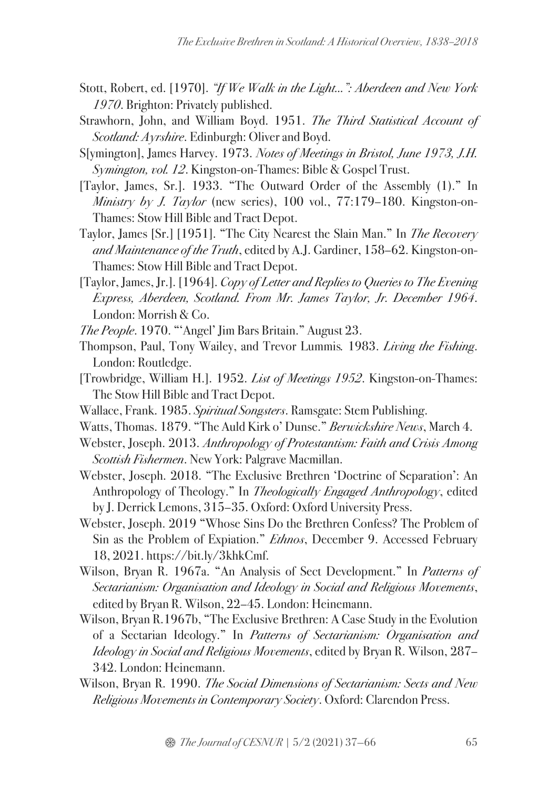- Stott, Robert, ed. [1970]. "If We Walk in the Light...": Aberdeen and New York 1970. Brighton: Privately published.
- Strawhorn, John, and William Boyd. 1951. The Third Statistical Account of Scotland: Ayrshire. Edinburgh: Oliver and Boyd.
- S[ymington], James Harvey. 1973. Notes of Meetings in Bristol, June 1973, J.H. Symington, vol. 12. Kingston-on-Thames: Bible & Gospel Trust.
- [Taylor, James, Sr.]. 1933. "The Outward Order of the Assembly (1)." In Ministry by J. Taylor (new series), 100 vol.,  $77:179-180$ . Kingston-on-Thames: Stow Hill Bible and Tract Depot.
- Taylor, James [Sr.] [1951]. "The City Nearest the Slain Man." In The Recovery and Maintenance of the Truth, edited by A.J. Gardiner, 158–62. Kingston-on-Thames: Stow Hill Bible and Tract Depot.
- [Taylor, James, Jr.]. [1964]. Copy of Letter and Replies to Queries to The Evening Express, Aberdeen, Scotland. From Mr. James Taylor, Jr. December 1964. London: Morrish & Co.
- The People. 1970. "'Angel' Jim Bars Britain." August 23.
- Thompson, Paul, Tony Wailey, and Trevor Lummis. 1983. Living the Fishing. London: Routledge.
- [Trowbridge, William H.]. 1952. List of Meetings 1952. Kingston-on-Thames: The Stow Hill Bible and Tract Depot.
- Wallace, Frank. 1985. Spiritual Songsters. Ramsgate: Stem Publishing.
- Watts, Thomas. 1879. "The Auld Kirk o' Dunse." Berwickshire News, March 4.
- Webster, Joseph. 2013. Anthropology of Protestantism: Faith and Crisis Among Scottish Fishermen. New York: Palgrave Macmillan.
- Webster, Joseph. 2018. "The Exclusive Brethren 'Doctrine of Separation': An Anthropology of Theology." In Theologically Engaged Anthropology, edited by J. Derrick Lemons, 315–35. Oxford: Oxford University Press.
- Webster, Joseph. 2019 "Whose Sins Do the Brethren Confess? The Problem of Sin as the Problem of Expiation." *Ethnos*, December 9. Accessed February 18, 2021. https://bit.ly/3khkCmf.
- Wilson, Bryan R. 1967a. "An Analysis of Sect Development." In Patterns of Sectarianism: Organisation and Ideology in Social and Religious Movements, edited by Bryan R. Wilson, 22–45. London: Heinemann.
- Wilson, Bryan R.1967b, "The Exclusive Brethren: A Case Study in the Evolution of a Sectarian Ideology." In Patterns of Sectarianism: Organisation and Ideology in Social and Religious Movements, edited by Bryan R. Wilson, 287– 342. London: Heinemann.
- Wilson, Bryan R. 1990. The Social Dimensions of Sectarianism: Sects and New Religious Movements in Contemporary Society. Oxford: Clarendon Press.